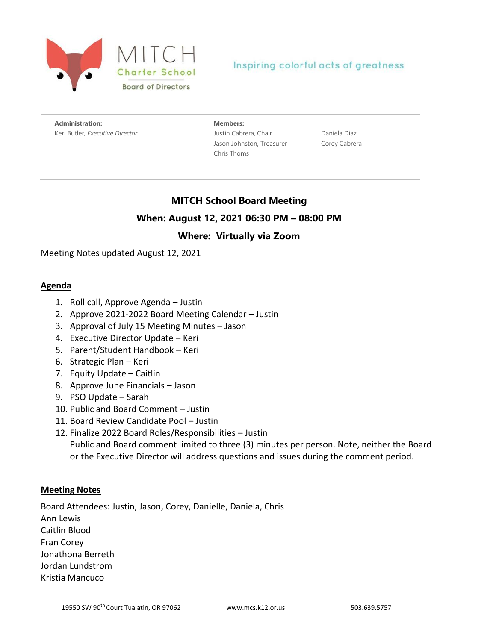

## Inspiring colorful acts of greatness

**Administration:** Keri Butler, *Executive Director* **Members:** Justin Cabrera, Chair Jason Johnston, Treasurer Chris Thoms

Daniela Diaz Corey Cabrera

# **MITCH School Board Meeting When: August 12, 2021 06:30 PM – 08:00 PM**

## **Where: Virtually via Zoom**

Meeting Notes updated August 12, 2021

#### **Agenda**

- 1. Roll call, Approve Agenda Justin
- 2. Approve 2021-2022 Board Meeting Calendar Justin
- 3. Approval of July 15 Meeting Minutes Jason
- 4. Executive Director Update Keri
- 5. Parent/Student Handbook Keri
- 6. Strategic Plan Keri
- 7. Equity Update Caitlin
- 8. Approve June Financials Jason
- 9. PSO Update Sarah
- 10. Public and Board Comment Justin
- 11. Board Review Candidate Pool Justin
- 12. Finalize 2022 Board Roles/Responsibilities Justin Public and Board comment limited to three (3) minutes per person. Note, neither the Board or the Executive Director will address questions and issues during the comment period.

#### **Meeting Notes**

Board Attendees: Justin, Jason, Corey, Danielle, Daniela, Chris Ann Lewis Caitlin Blood Fran Corey Jonathona Berreth Jordan Lundstrom Kristia Mancuco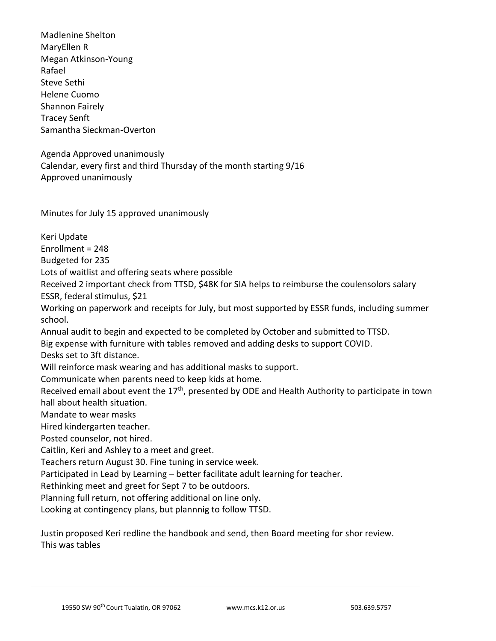Madlenine Shelton MaryEllen R Megan Atkinson-Young Rafael Steve Sethi Helene Cuomo Shannon Fairely Tracey Senft Samantha Sieckman-Overton

Agenda Approved unanimously Calendar, every first and third Thursday of the month starting 9/16 Approved unanimously

Minutes for July 15 approved unanimously

Keri Update Enrollment = 248 Budgeted for 235 Lots of waitlist and offering seats where possible Received 2 important check from TTSD, \$48K for SIA helps to reimburse the coulensolors salary ESSR, federal stimulus, \$21 Working on paperwork and receipts for July, but most supported by ESSR funds, including summer school. Annual audit to begin and expected to be completed by October and submitted to TTSD. Big expense with furniture with tables removed and adding desks to support COVID. Desks set to 3ft distance. Will reinforce mask wearing and has additional masks to support. Communicate when parents need to keep kids at home. Received email about event the 17<sup>th</sup>, presented by ODE and Health Authority to participate in town hall about health situation. Mandate to wear masks Hired kindergarten teacher. Posted counselor, not hired. Caitlin, Keri and Ashley to a meet and greet. Teachers return August 30. Fine tuning in service week. Participated in Lead by Learning – better facilitate adult learning for teacher. Rethinking meet and greet for Sept 7 to be outdoors. Planning full return, not offering additional on line only. Looking at contingency plans, but plannnig to follow TTSD.

Justin proposed Keri redline the handbook and send, then Board meeting for shor review. This was tables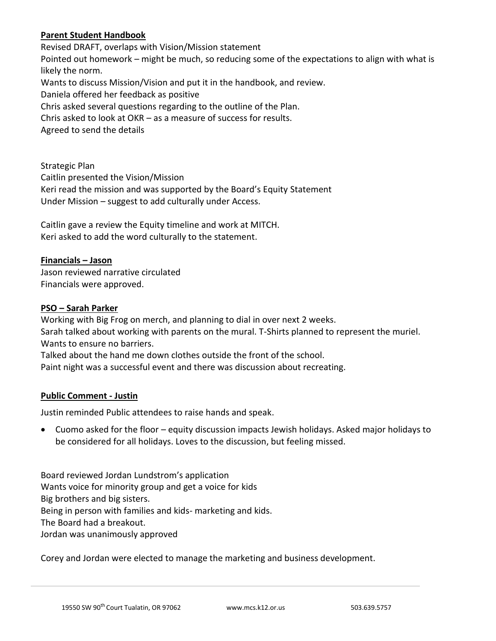### **Parent Student Handbook**

Revised DRAFT, overlaps with Vision/Mission statement Pointed out homework – might be much, so reducing some of the expectations to align with what is likely the norm. Wants to discuss Mission/Vision and put it in the handbook, and review. Daniela offered her feedback as positive Chris asked several questions regarding to the outline of the Plan. Chris asked to look at OKR – as a measure of success for results. Agreed to send the details

Strategic Plan Caitlin presented the Vision/Mission Keri read the mission and was supported by the Board's Equity Statement Under Mission – suggest to add culturally under Access.

Caitlin gave a review the Equity timeline and work at MITCH. Keri asked to add the word culturally to the statement.

#### **Financials – Jason**

Jason reviewed narrative circulated Financials were approved.

#### **PSO – Sarah Parker**

Working with Big Frog on merch, and planning to dial in over next 2 weeks. Sarah talked about working with parents on the mural. T-Shirts planned to represent the muriel. Wants to ensure no barriers. Talked about the hand me down clothes outside the front of the school.

Paint night was a successful event and there was discussion about recreating.

#### **Public Comment - Justin**

Justin reminded Public attendees to raise hands and speak.

• Cuomo asked for the floor – equity discussion impacts Jewish holidays. Asked major holidays to be considered for all holidays. Loves to the discussion, but feeling missed.

Board reviewed Jordan Lundstrom's application Wants voice for minority group and get a voice for kids Big brothers and big sisters. Being in person with families and kids- marketing and kids. The Board had a breakout. Jordan was unanimously approved

Corey and Jordan were elected to manage the marketing and business development.